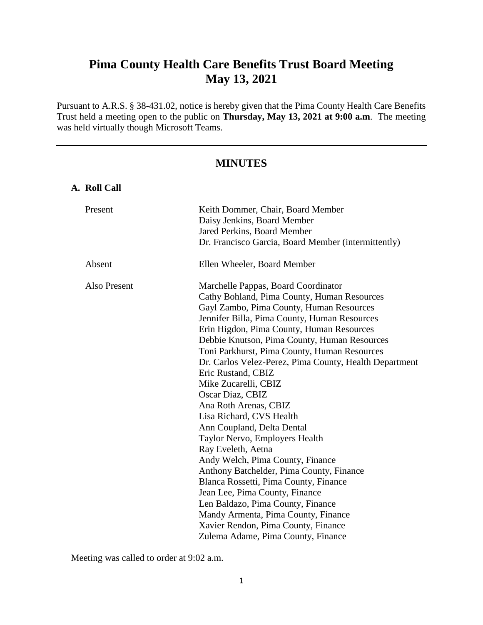# **Pima County Health Care Benefits Trust Board Meeting May 13, 2021**

Pursuant to A.R.S. § 38-431.02, notice is hereby given that the Pima County Health Care Benefits Trust held a meeting open to the public on **Thursday, May 13, 2021 at 9:00 a.m**. The meeting was held virtually though Microsoft Teams.

# **MINUTES**

| Keith Dommer, Chair, Board Member<br>Daisy Jenkins, Board Member<br>Jared Perkins, Board Member<br>Dr. Francisco Garcia, Board Member (intermittently)                                                                                                                                                                                                                                                                                                                                                                                                                                                                                                                                                                                                                                                                                                                                                                 |
|------------------------------------------------------------------------------------------------------------------------------------------------------------------------------------------------------------------------------------------------------------------------------------------------------------------------------------------------------------------------------------------------------------------------------------------------------------------------------------------------------------------------------------------------------------------------------------------------------------------------------------------------------------------------------------------------------------------------------------------------------------------------------------------------------------------------------------------------------------------------------------------------------------------------|
| Ellen Wheeler, Board Member                                                                                                                                                                                                                                                                                                                                                                                                                                                                                                                                                                                                                                                                                                                                                                                                                                                                                            |
| Marchelle Pappas, Board Coordinator<br>Cathy Bohland, Pima County, Human Resources<br>Gayl Zambo, Pima County, Human Resources<br>Jennifer Billa, Pima County, Human Resources<br>Erin Higdon, Pima County, Human Resources<br>Debbie Knutson, Pima County, Human Resources<br>Toni Parkhurst, Pima County, Human Resources<br>Dr. Carlos Velez-Perez, Pima County, Health Department<br>Eric Rustand, CBIZ<br>Mike Zucarelli, CBIZ<br>Oscar Diaz, CBIZ<br>Ana Roth Arenas, CBIZ<br>Lisa Richard, CVS Health<br>Ann Coupland, Delta Dental<br>Taylor Nervo, Employers Health<br>Ray Eveleth, Aetna<br>Andy Welch, Pima County, Finance<br>Anthony Batchelder, Pima County, Finance<br>Blanca Rossetti, Pima County, Finance<br>Jean Lee, Pima County, Finance<br>Len Baldazo, Pima County, Finance<br>Mandy Armenta, Pima County, Finance<br>Xavier Rendon, Pima County, Finance<br>Zulema Adame, Pima County, Finance |
|                                                                                                                                                                                                                                                                                                                                                                                                                                                                                                                                                                                                                                                                                                                                                                                                                                                                                                                        |

Meeting was called to order at 9:02 a.m.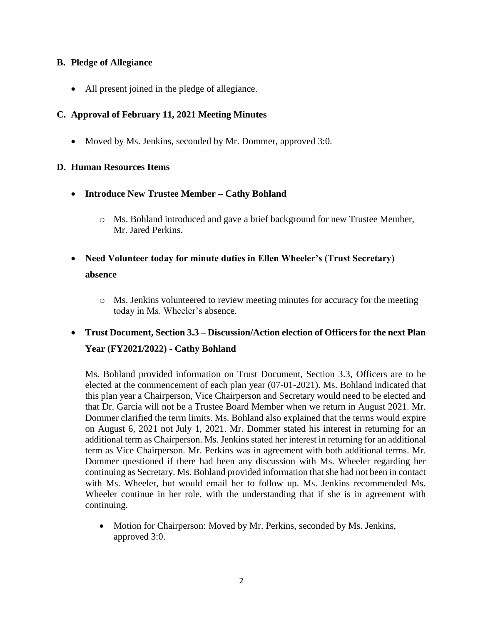# **B. Pledge of Allegiance**

All present joined in the pledge of allegiance.

# **C. Approval of February 11, 2021 Meeting Minutes**

• Moved by Ms. Jenkins, seconded by Mr. Dommer, approved 3:0.

# **D. Human Resources Items**

- **Introduce New Trustee Member – Cathy Bohland**
	- o Ms. Bohland introduced and gave a brief background for new Trustee Member, Mr. Jared Perkins.
- **Need Volunteer today for minute duties in Ellen Wheeler's (Trust Secretary) absence**
	- o Ms. Jenkins volunteered to review meeting minutes for accuracy for the meeting today in Ms. Wheeler's absence.

# **Trust Document, Section 3.3 – Discussion/Action election of Officers for the next Plan Year (FY2021/2022) - Cathy Bohland**

Ms. Bohland provided information on Trust Document, Section 3.3, Officers are to be elected at the commencement of each plan year (07-01-2021). Ms. Bohland indicated that this plan year a Chairperson, Vice Chairperson and Secretary would need to be elected and that Dr. Garcia will not be a Trustee Board Member when we return in August 2021. Mr. Dommer clarified the term limits. Ms. Bohland also explained that the terms would expire on August 6, 2021 not July 1, 2021. Mr. Dommer stated his interest in returning for an additional term as Chairperson. Ms. Jenkins stated her interest in returning for an additional term as Vice Chairperson. Mr. Perkins was in agreement with both additional terms. Mr. Dommer questioned if there had been any discussion with Ms. Wheeler regarding her continuing as Secretary. Ms. Bohland provided information that she had not been in contact with Ms. Wheeler, but would email her to follow up. Ms. Jenkins recommended Ms. Wheeler continue in her role, with the understanding that if she is in agreement with continuing.

• Motion for Chairperson: Moved by Mr. Perkins, seconded by Ms. Jenkins, approved 3:0.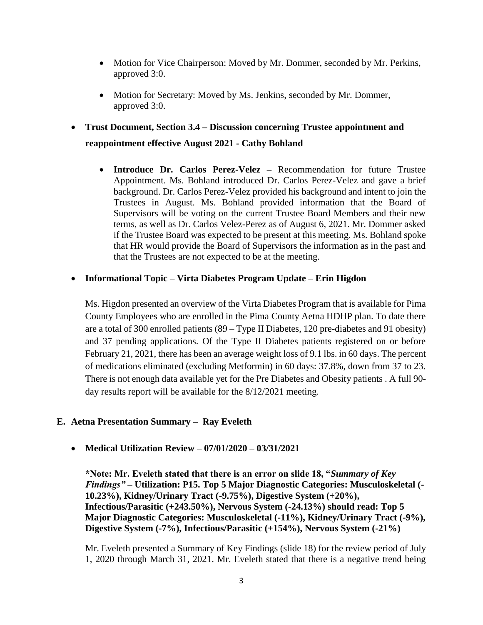- Motion for Vice Chairperson: Moved by Mr. Dommer, seconded by Mr. Perkins, approved 3:0.
- Motion for Secretary: Moved by Ms. Jenkins, seconded by Mr. Dommer, approved 3:0.
- **Trust Document, Section 3.4 – Discussion concerning Trustee appointment and reappointment effective August 2021 - Cathy Bohland**
	- **Introduce Dr. Carlos Perez-Velez –** Recommendation for future Trustee Appointment. Ms. Bohland introduced Dr. Carlos Perez-Velez and gave a brief background. Dr. Carlos Perez-Velez provided his background and intent to join the Trustees in August. Ms. Bohland provided information that the Board of Supervisors will be voting on the current Trustee Board Members and their new terms, as well as Dr. Carlos Velez-Perez as of August 6, 2021. Mr. Dommer asked if the Trustee Board was expected to be present at this meeting. Ms. Bohland spoke that HR would provide the Board of Supervisors the information as in the past and that the Trustees are not expected to be at the meeting.

# **Informational Topic – Virta Diabetes Program Update – Erin Higdon**

Ms. Higdon presented an overview of the Virta Diabetes Program that is available for Pima County Employees who are enrolled in the Pima County Aetna HDHP plan. To date there are a total of 300 enrolled patients (89 – Type II Diabetes, 120 pre-diabetes and 91 obesity) and 37 pending applications. Of the Type II Diabetes patients registered on or before February 21, 2021, there has been an average weight loss of 9.1 lbs. in 60 days. The percent of medications eliminated (excluding Metformin) in 60 days: 37.8%, down from 37 to 23. There is not enough data available yet for the Pre Diabetes and Obesity patients . A full 90 day results report will be available for the 8/12/2021 meeting.

# **E. Aetna Presentation Summary – Ray Eveleth**

**Medical Utilization Review – 07/01/2020 – 03/31/2021**

**\*Note: Mr. Eveleth stated that there is an error on slide 18, "***Summary of Key Findings" –* **Utilization: P15. Top 5 Major Diagnostic Categories: Musculoskeletal (- 10.23%), Kidney/Urinary Tract (-9.75%), Digestive System (+20%), Infectious/Parasitic (+243.50%), Nervous System (-24.13%) should read: Top 5 Major Diagnostic Categories: Musculoskeletal (-11%), Kidney/Urinary Tract (-9%), Digestive System (-7%), Infectious/Parasitic (+154%), Nervous System (-21%)**

Mr. Eveleth presented a Summary of Key Findings (slide 18) for the review period of July 1, 2020 through March 31, 2021. Mr. Eveleth stated that there is a negative trend being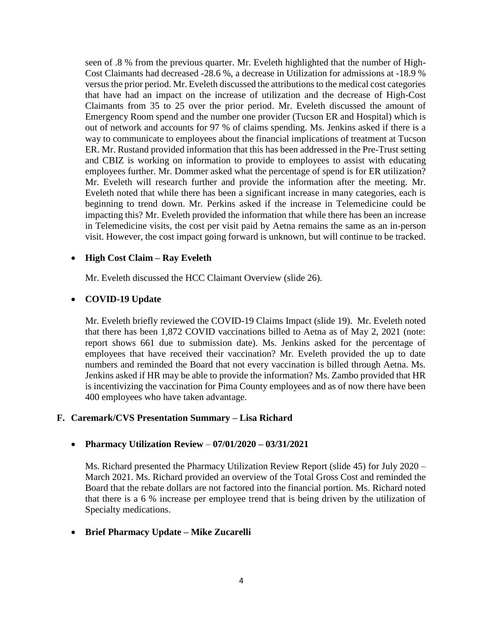seen of .8 % from the previous quarter. Mr. Eveleth highlighted that the number of High-Cost Claimants had decreased -28.6 %, a decrease in Utilization for admissions at -18.9 % versus the prior period. Mr. Eveleth discussed the attributions to the medical cost categories that have had an impact on the increase of utilization and the decrease of High-Cost Claimants from 35 to 25 over the prior period. Mr. Eveleth discussed the amount of Emergency Room spend and the number one provider (Tucson ER and Hospital) which is out of network and accounts for 97 % of claims spending. Ms. Jenkins asked if there is a way to communicate to employees about the financial implications of treatment at Tucson ER. Mr. Rustand provided information that this has been addressed in the Pre-Trust setting and CBIZ is working on information to provide to employees to assist with educating employees further. Mr. Dommer asked what the percentage of spend is for ER utilization? Mr. Eveleth will research further and provide the information after the meeting. Mr. Eveleth noted that while there has been a significant increase in many categories, each is beginning to trend down. Mr. Perkins asked if the increase in Telemedicine could be impacting this? Mr. Eveleth provided the information that while there has been an increase in Telemedicine visits, the cost per visit paid by Aetna remains the same as an in-person visit. However, the cost impact going forward is unknown, but will continue to be tracked.

# **High Cost Claim – Ray Eveleth**

Mr. Eveleth discussed the HCC Claimant Overview (slide 26).

# **COVID-19 Update**

Mr. Eveleth briefly reviewed the COVID-19 Claims Impact (slide 19). Mr. Eveleth noted that there has been 1,872 COVID vaccinations billed to Aetna as of May 2, 2021 (note: report shows 661 due to submission date). Ms. Jenkins asked for the percentage of employees that have received their vaccination? Mr. Eveleth provided the up to date numbers and reminded the Board that not every vaccination is billed through Aetna. Ms. Jenkins asked if HR may be able to provide the information? Ms. Zambo provided that HR is incentivizing the vaccination for Pima County employees and as of now there have been 400 employees who have taken advantage.

# **F. Caremark/CVS Presentation Summary – Lisa Richard**

# **Pharmacy Utilization Review** – **07/01/2020 – 03/31/2021**

Ms. Richard presented the Pharmacy Utilization Review Report (slide 45) for July 2020 – March 2021. Ms. Richard provided an overview of the Total Gross Cost and reminded the Board that the rebate dollars are not factored into the financial portion. Ms. Richard noted that there is a 6 % increase per employee trend that is being driven by the utilization of Specialty medications.

# **Brief Pharmacy Update – Mike Zucarelli**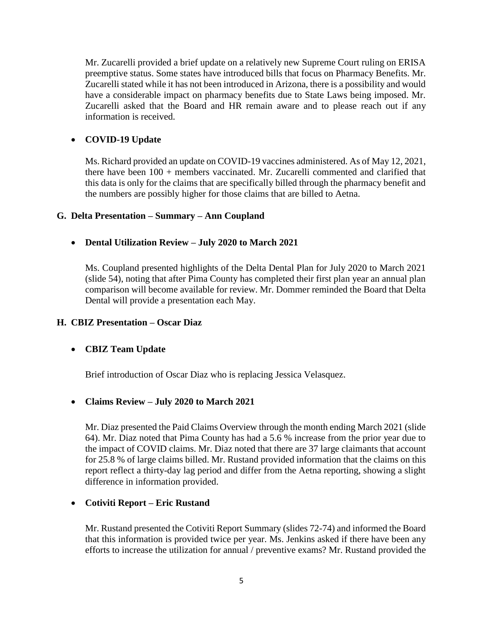Mr. Zucarelli provided a brief update on a relatively new Supreme Court ruling on ERISA preemptive status. Some states have introduced bills that focus on Pharmacy Benefits. Mr. Zucarelli stated while it has not been introduced in Arizona, there is a possibility and would have a considerable impact on pharmacy benefits due to State Laws being imposed. Mr. Zucarelli asked that the Board and HR remain aware and to please reach out if any information is received.

# **COVID-19 Update**

Ms. Richard provided an update on COVID-19 vaccines administered. As of May 12, 2021, there have been 100 + members vaccinated. Mr. Zucarelli commented and clarified that this data is only for the claims that are specifically billed through the pharmacy benefit and the numbers are possibly higher for those claims that are billed to Aetna.

#### **G. Delta Presentation – Summary – Ann Coupland**

# **Dental Utilization Review – July 2020 to March 2021**

Ms. Coupland presented highlights of the Delta Dental Plan for July 2020 to March 2021 (slide 54), noting that after Pima County has completed their first plan year an annual plan comparison will become available for review. Mr. Dommer reminded the Board that Delta Dental will provide a presentation each May.

# **H. CBIZ Presentation – Oscar Diaz**

# **CBIZ Team Update**

Brief introduction of Oscar Diaz who is replacing Jessica Velasquez.

# **Claims Review – July 2020 to March 2021**

Mr. Diaz presented the Paid Claims Overview through the month ending March 2021 (slide 64). Mr. Diaz noted that Pima County has had a 5.6 % increase from the prior year due to the impact of COVID claims. Mr. Diaz noted that there are 37 large claimants that account for 25.8 % of large claims billed. Mr. Rustand provided information that the claims on this report reflect a thirty-day lag period and differ from the Aetna reporting, showing a slight difference in information provided.

# **Cotiviti Report – Eric Rustand**

Mr. Rustand presented the Cotiviti Report Summary (slides 72-74) and informed the Board that this information is provided twice per year. Ms. Jenkins asked if there have been any efforts to increase the utilization for annual / preventive exams? Mr. Rustand provided the